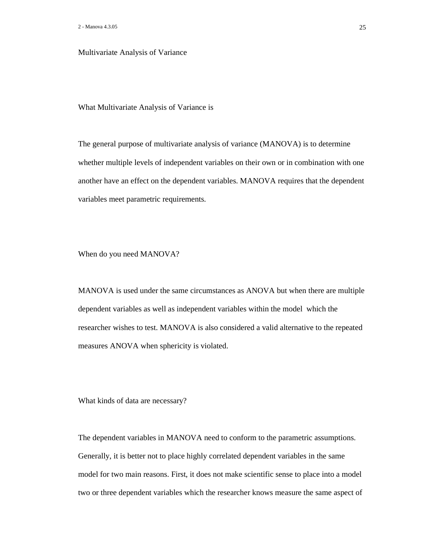#### Multivariate Analysis of Variance

What Multivariate Analysis of Variance is

The general purpose of multivariate analysis of variance (MANOVA) is to determine whether multiple levels of independent variables on their own or in combination with one another have an effect on the dependent variables. MANOVA requires that the dependent variables meet parametric requirements.

When do you need MANOVA?

MANOVA is used under the same circumstances as ANOVA but when there are multiple dependent variables as well as independent variables within the model which the researcher wishes to test. MANOVA is also considered a valid alternative to the repeated measures ANOVA when sphericity is violated.

What kinds of data are necessary?

The dependent variables in MANOVA need to conform to the parametric assumptions. Generally, it is better not to place highly correlated dependent variables in the same model for two main reasons. First, it does not make scientific sense to place into a model two or three dependent variables which the researcher knows measure the same aspect of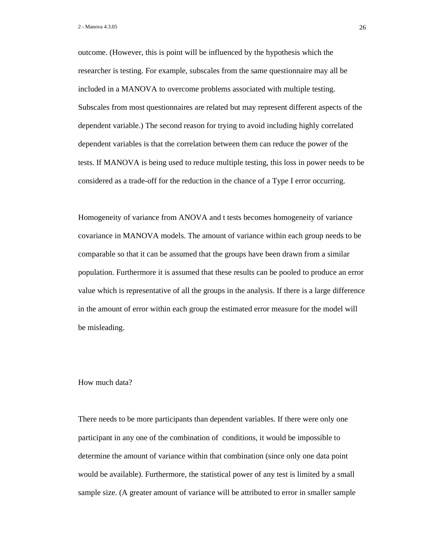2 - Manova 4.3.05  $26$ 

outcome. (However, this is point will be influenced by the hypothesis which the researcher is testing. For example, subscales from the same questionnaire may all be included in a MANOVA to overcome problems associated with multiple testing. Subscales from most questionnaires are related but may represent different aspects of the dependent variable.) The second reason for trying to avoid including highly correlated dependent variables is that the correlation between them can reduce the power of the tests. If MANOVA is being used to reduce multiple testing, this loss in power needs to be considered as a trade-off for the reduction in the chance of a Type I error occurring.

Homogeneity of variance from ANOVA and t tests becomes homogeneity of variance covariance in MANOVA models. The amount of variance within each group needs to be comparable so that it can be assumed that the groups have been drawn from a similar population. Furthermore it is assumed that these results can be pooled to produce an error value which is representative of all the groups in the analysis. If there is a large difference in the amount of error within each group the estimated error measure for the model will be misleading.

## How much data?

There needs to be more participants than dependent variables. If there were only one participant in any one of the combination of conditions, it would be impossible to determine the amount of variance within that combination (since only one data point would be available). Furthermore, the statistical power of any test is limited by a small sample size. (A greater amount of variance will be attributed to error in smaller sample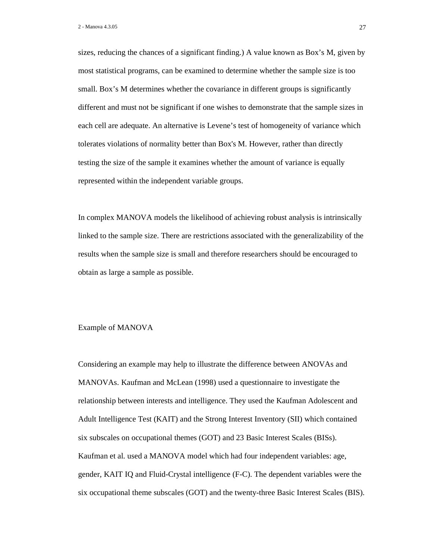2 - Manova 4.3.05  $27$ 

sizes, reducing the chances of a significant finding.) A value known as Box's M, given by most statistical programs, can be examined to determine whether the sample size is too small. Box's M determines whether the covariance in different groups is significantly different and must not be significant if one wishes to demonstrate that the sample sizes in each cell are adequate. An alternative is Levene's test of homogeneity of variance which tolerates violations of normality better than Box's M. However, rather than directly testing the size of the sample it examines whether the amount of variance is equally represented within the independent variable groups.

In complex MANOVA models the likelihood of achieving robust analysis is intrinsically linked to the sample size. There are restrictions associated with the generalizability of the results when the sample size is small and therefore researchers should be encouraged to obtain as large a sample as possible.

#### Example of MANOVA

Considering an example may help to illustrate the difference between ANOVAs and MANOVAs. Kaufman and McLean (1998) used a questionnaire to investigate the relationship between interests and intelligence. They used the Kaufman Adolescent and Adult Intelligence Test (KAIT) and the Strong Interest Inventory (SII) which contained six subscales on occupational themes (GOT) and 23 Basic Interest Scales (BISs). Kaufman et al. used a MANOVA model which had four independent variables: age, gender, KAIT IQ and Fluid-Crystal intelligence (F-C). The dependent variables were the six occupational theme subscales (GOT) and the twenty-three Basic Interest Scales (BIS).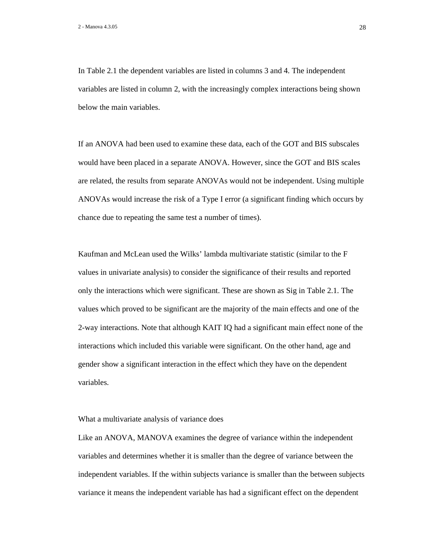In Table 2.1 the dependent variables are listed in columns 3 and 4. The independent variables are listed in column 2, with the increasingly complex interactions being shown below the main variables.

If an ANOVA had been used to examine these data, each of the GOT and BIS subscales would have been placed in a separate ANOVA. However, since the GOT and BIS scales are related, the results from separate ANOVAs would not be independent. Using multiple ANOVAs would increase the risk of a Type I error (a significant finding which occurs by chance due to repeating the same test a number of times).

Kaufman and McLean used the Wilks' lambda multivariate statistic (similar to the F values in univariate analysis) to consider the significance of their results and reported only the interactions which were significant. These are shown as Sig in Table 2.1. The values which proved to be significant are the majority of the main effects and one of the 2-way interactions. Note that although KAIT IQ had a significant main effect none of the interactions which included this variable were significant. On the other hand, age and gender show a significant interaction in the effect which they have on the dependent variables.

## What a multivariate analysis of variance does

Like an ANOVA, MANOVA examines the degree of variance within the independent variables and determines whether it is smaller than the degree of variance between the independent variables. If the within subjects variance is smaller than the between subjects variance it means the independent variable has had a significant effect on the dependent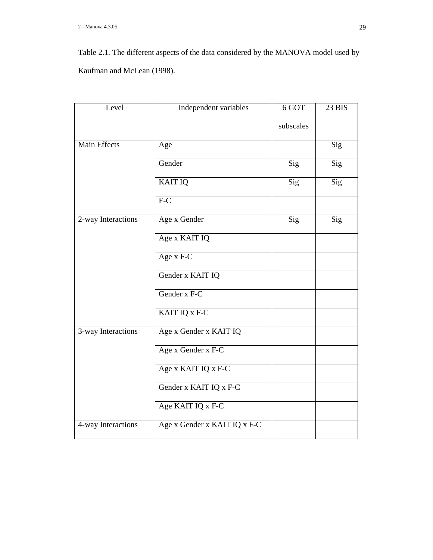Table 2.1. The different aspects of the data considered by the MANOVA model used by Kaufman and McLean (1998).

| Level              | Independent variables        | 6 GOT     | 23 BIS |
|--------------------|------------------------------|-----------|--------|
|                    |                              | subscales |        |
| Main Effects       | Age                          |           | Sig    |
|                    | Gender                       | Sig       | Sig    |
|                    | <b>KAIT IQ</b>               | Sig       | Sig    |
|                    | $F-C$                        |           |        |
| 2-way Interactions | Age x Gender                 | Sig       | Sig    |
|                    | Age x KAIT IQ                |           |        |
|                    | Age $x F-C$                  |           |        |
|                    | Gender x KAIT IQ             |           |        |
|                    | Gender x F-C                 |           |        |
|                    | KAIT IQ x F-C                |           |        |
| 3-way Interactions | Age x Gender x KAIT IQ       |           |        |
|                    | Age x Gender x F-C           |           |        |
|                    | Age x KAIT IQ x F-C          |           |        |
|                    | Gender x KAIT IQ x F-C       |           |        |
|                    | Age KAIT IQ x F-C            |           |        |
| 4-way Interactions | Age x Gender x KAIT IQ x F-C |           |        |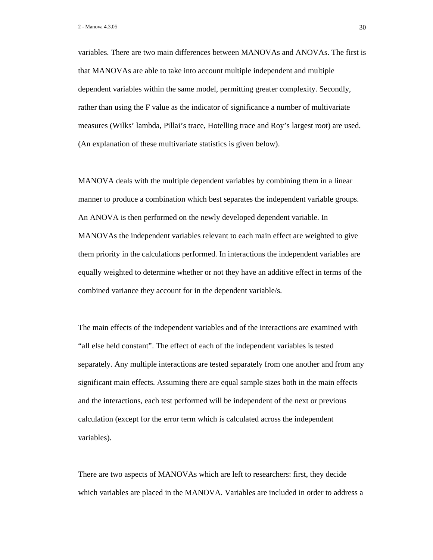2 - Manova 4.3.05  $\sim$  300  $\sim$  300  $\sim$  300  $\sim$  300  $\sim$  300  $\sim$  300  $\sim$  300  $\sim$  300  $\sim$  300  $\sim$  300  $\sim$  300  $\sim$  300  $\sim$  300  $\sim$  300  $\sim$  300  $\sim$  300  $\sim$  300  $\sim$  300  $\sim$  300  $\sim$  300  $\sim$  300  $\sim$  300  $\sim$ 

variables. There are two main differences between MANOVAs and ANOVAs. The first is that MANOVAs are able to take into account multiple independent and multiple dependent variables within the same model, permitting greater complexity. Secondly, rather than using the F value as the indicator of significance a number of multivariate measures (Wilks' lambda, Pillai's trace, Hotelling trace and Roy's largest root) are used. (An explanation of these multivariate statistics is given below).

MANOVA deals with the multiple dependent variables by combining them in a linear manner to produce a combination which best separates the independent variable groups. An ANOVA is then performed on the newly developed dependent variable. In MANOVAs the independent variables relevant to each main effect are weighted to give them priority in the calculations performed. In interactions the independent variables are equally weighted to determine whether or not they have an additive effect in terms of the combined variance they account for in the dependent variable/s.

The main effects of the independent variables and of the interactions are examined with "all else held constant". The effect of each of the independent variables is tested separately. Any multiple interactions are tested separately from one another and from any significant main effects. Assuming there are equal sample sizes both in the main effects and the interactions, each test performed will be independent of the next or previous calculation (except for the error term which is calculated across the independent variables).

There are two aspects of MANOVAs which are left to researchers: first, they decide which variables are placed in the MANOVA. Variables are included in order to address a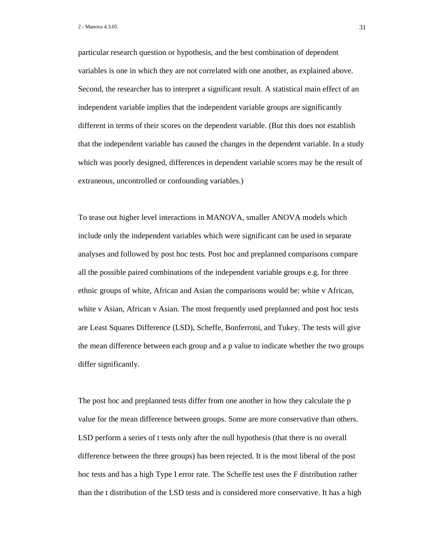2 - Manova 4.3.05  $\frac{31}{2}$ 

particular research question or hypothesis, and the best combination of dependent variables is one in which they are not correlated with one another, as explained above. Second, the researcher has to interpret a significant result. A statistical main effect of an independent variable implies that the independent variable groups are significantly different in terms of their scores on the dependent variable. (But this does not establish that the independent variable has caused the changes in the dependent variable. In a study which was poorly designed, differences in dependent variable scores may be the result of extraneous, uncontrolled or confounding variables.)

To tease out higher level interactions in MANOVA, smaller ANOVA models which include only the independent variables which were significant can be used in separate analyses and followed by post hoc tests. Post hoc and preplanned comparisons compare all the possible paired combinations of the independent variable groups e.g. for three ethnic groups of white, African and Asian the comparisons would be: white v African, white v Asian, African v Asian. The most frequently used preplanned and post hoc tests are Least Squares Difference (LSD), Scheffe, Bonferroni, and Tukey. The tests will give the mean difference between each group and a p value to indicate whether the two groups differ significantly.

The post hoc and preplanned tests differ from one another in how they calculate the p value for the mean difference between groups. Some are more conservative than others. LSD perform a series of t tests only after the null hypothesis (that there is no overall difference between the three groups) has been rejected. It is the most liberal of the post hoc tests and has a high Type I error rate. The Scheffe test uses the F distribution rather than the t distribution of the LSD tests and is considered more conservative. It has a high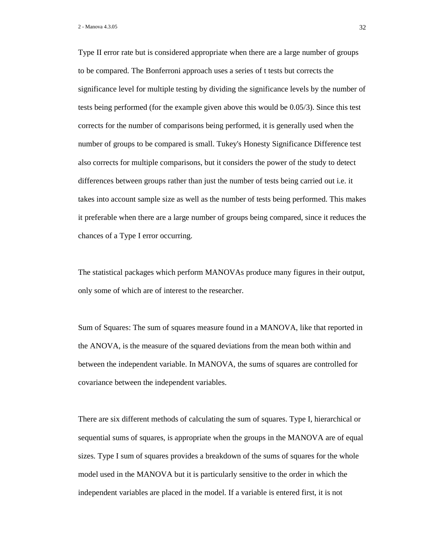2 - Manova 4.3.05  $\sim$  32

Type II error rate but is considered appropriate when there are a large number of groups to be compared. The Bonferroni approach uses a series of t tests but corrects the significance level for multiple testing by dividing the significance levels by the number of tests being performed (for the example given above this would be 0.05/3). Since this test corrects for the number of comparisons being performed, it is generally used when the number of groups to be compared is small. Tukey's Honesty Significance Difference test also corrects for multiple comparisons, but it considers the power of the study to detect differences between groups rather than just the number of tests being carried out i.e. it takes into account sample size as well as the number of tests being performed. This makes it preferable when there are a large number of groups being compared, since it reduces the chances of a Type I error occurring.

The statistical packages which perform MANOVAs produce many figures in their output, only some of which are of interest to the researcher.

Sum of Squares: The sum of squares measure found in a MANOVA, like that reported in the ANOVA, is the measure of the squared deviations from the mean both within and between the independent variable. In MANOVA, the sums of squares are controlled for covariance between the independent variables.

There are six different methods of calculating the sum of squares. Type I, hierarchical or sequential sums of squares, is appropriate when the groups in the MANOVA are of equal sizes. Type I sum of squares provides a breakdown of the sums of squares for the whole model used in the MANOVA but it is particularly sensitive to the order in which the independent variables are placed in the model. If a variable is entered first, it is not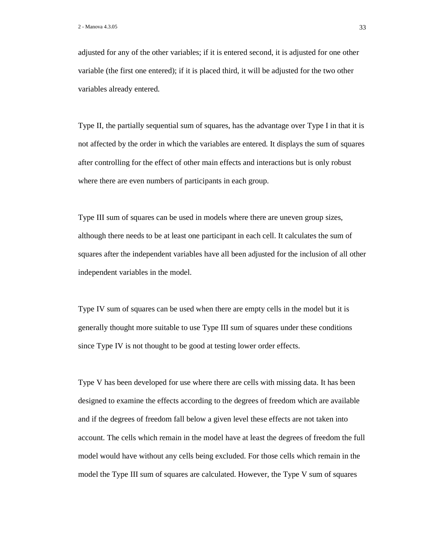adjusted for any of the other variables; if it is entered second, it is adjusted for one other variable (the first one entered); if it is placed third, it will be adjusted for the two other variables already entered.

Type II, the partially sequential sum of squares, has the advantage over Type I in that it is not affected by the order in which the variables are entered. It displays the sum of squares after controlling for the effect of other main effects and interactions but is only robust where there are even numbers of participants in each group.

Type III sum of squares can be used in models where there are uneven group sizes, although there needs to be at least one participant in each cell. It calculates the sum of squares after the independent variables have all been adjusted for the inclusion of all other independent variables in the model.

Type IV sum of squares can be used when there are empty cells in the model but it is generally thought more suitable to use Type III sum of squares under these conditions since Type IV is not thought to be good at testing lower order effects.

Type V has been developed for use where there are cells with missing data. It has been designed to examine the effects according to the degrees of freedom which are available and if the degrees of freedom fall below a given level these effects are not taken into account. The cells which remain in the model have at least the degrees of freedom the full model would have without any cells being excluded. For those cells which remain in the model the Type III sum of squares are calculated. However, the Type V sum of squares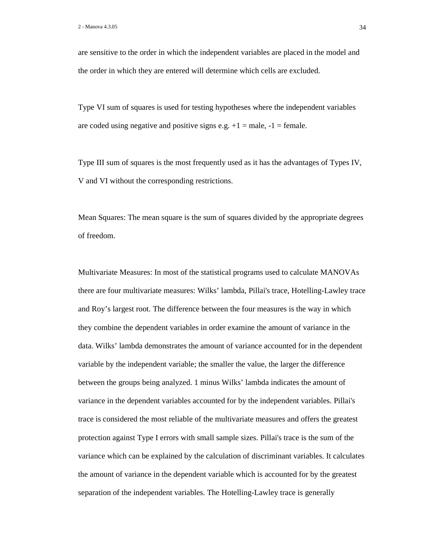are sensitive to the order in which the independent variables are placed in the model and the order in which they are entered will determine which cells are excluded.

Type VI sum of squares is used for testing hypotheses where the independent variables are coded using negative and positive signs e.g.  $+1 =$  male,  $-1 =$  female.

Type III sum of squares is the most frequently used as it has the advantages of Types IV, V and VI without the corresponding restrictions.

Mean Squares: The mean square is the sum of squares divided by the appropriate degrees of freedom.

Multivariate Measures: In most of the statistical programs used to calculate MANOVAs there are four multivariate measures: Wilks' lambda, Pillai's trace, Hotelling-Lawley trace and Roy's largest root. The difference between the four measures is the way in which they combine the dependent variables in order examine the amount of variance in the data. Wilks' lambda demonstrates the amount of variance accounted for in the dependent variable by the independent variable; the smaller the value, the larger the difference between the groups being analyzed. 1 minus Wilks' lambda indicates the amount of variance in the dependent variables accounted for by the independent variables. Pillai's trace is considered the most reliable of the multivariate measures and offers the greatest protection against Type I errors with small sample sizes. Pillai's trace is the sum of the variance which can be explained by the calculation of discriminant variables. It calculates the amount of variance in the dependent variable which is accounted for by the greatest separation of the independent variables. The Hotelling-Lawley trace is generally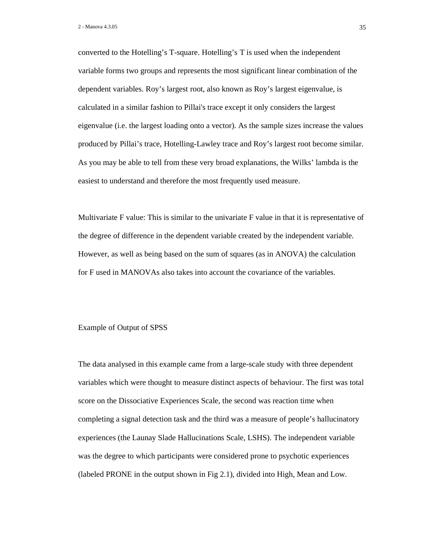2 - Manova 4.3.05  $35$ 

converted to the Hotelling's T-square. Hotelling's T is used when the independent variable forms two groups and represents the most significant linear combination of the dependent variables. Roy's largest root, also known as Roy's largest eigenvalue, is calculated in a similar fashion to Pillai's trace except it only considers the largest eigenvalue (i.e. the largest loading onto a vector). As the sample sizes increase the values produced by Pillai's trace, Hotelling-Lawley trace and Roy's largest root become similar. As you may be able to tell from these very broad explanations, the Wilks' lambda is the easiest to understand and therefore the most frequently used measure.

Multivariate F value: This is similar to the univariate F value in that it is representative of the degree of difference in the dependent variable created by the independent variable. However, as well as being based on the sum of squares (as in ANOVA) the calculation for F used in MANOVAs also takes into account the covariance of the variables.

## Example of Output of SPSS

The data analysed in this example came from a large-scale study with three dependent variables which were thought to measure distinct aspects of behaviour. The first was total score on the Dissociative Experiences Scale, the second was reaction time when completing a signal detection task and the third was a measure of people's hallucinatory experiences (the Launay Slade Hallucinations Scale, LSHS). The independent variable was the degree to which participants were considered prone to psychotic experiences (labeled PRONE in the output shown in Fig 2.1), divided into High, Mean and Low.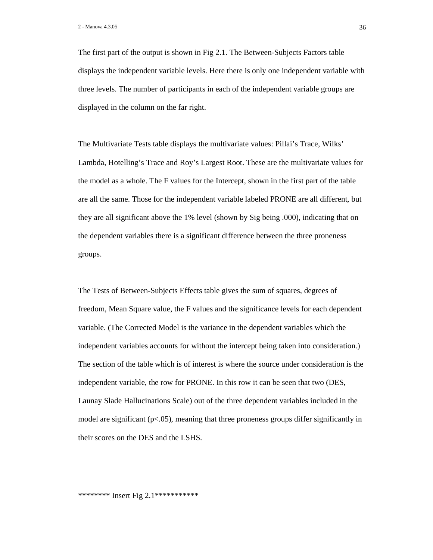The first part of the output is shown in Fig 2.1. The Between-Subjects Factors table displays the independent variable levels. Here there is only one independent variable with three levels. The number of participants in each of the independent variable groups are displayed in the column on the far right.

The Multivariate Tests table displays the multivariate values: Pillai's Trace, Wilks' Lambda, Hotelling's Trace and Roy's Largest Root. These are the multivariate values for the model as a whole. The F values for the Intercept, shown in the first part of the table are all the same. Those for the independent variable labeled PRONE are all different, but they are all significant above the 1% level (shown by Sig being .000), indicating that on the dependent variables there is a significant difference between the three proneness groups.

The Tests of Between-Subjects Effects table gives the sum of squares, degrees of freedom, Mean Square value, the F values and the significance levels for each dependent variable. (The Corrected Model is the variance in the dependent variables which the independent variables accounts for without the intercept being taken into consideration.) The section of the table which is of interest is where the source under consideration is the independent variable, the row for PRONE. In this row it can be seen that two (DES, Launay Slade Hallucinations Scale) out of the three dependent variables included in the model are significant  $(p<0.05)$ , meaning that three proneness groups differ significantly in their scores on the DES and the LSHS.

\*\*\*\*\*\*\*\*\* Insert Fig 2.1\*\*\*\*\*\*\*\*\*\*\*\*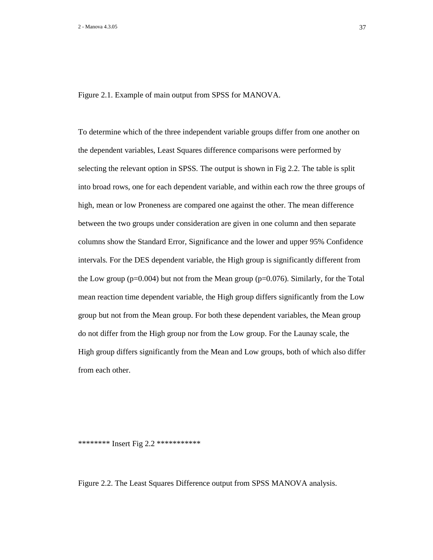Figure 2.1. Example of main output from SPSS for MANOVA.

To determine which of the three independent variable groups differ from one another on the dependent variables, Least Squares difference comparisons were performed by selecting the relevant option in SPSS. The output is shown in Fig 2.2. The table is split into broad rows, one for each dependent variable, and within each row the three groups of high, mean or low Proneness are compared one against the other. The mean difference between the two groups under consideration are given in one column and then separate columns show the Standard Error, Significance and the lower and upper 95% Confidence intervals. For the DES dependent variable, the High group is significantly different from the Low group  $(p=0.004)$  but not from the Mean group  $(p=0.076)$ . Similarly, for the Total mean reaction time dependent variable, the High group differs significantly from the Low group but not from the Mean group. For both these dependent variables, the Mean group do not differ from the High group nor from the Low group. For the Launay scale, the High group differs significantly from the Mean and Low groups, both of which also differ from each other.

\*\*\*\*\*\*\*\* Insert Fig 2.2 \*\*\*\*\*\*\*\*\*\*\*

Figure 2.2. The Least Squares Difference output from SPSS MANOVA analysis.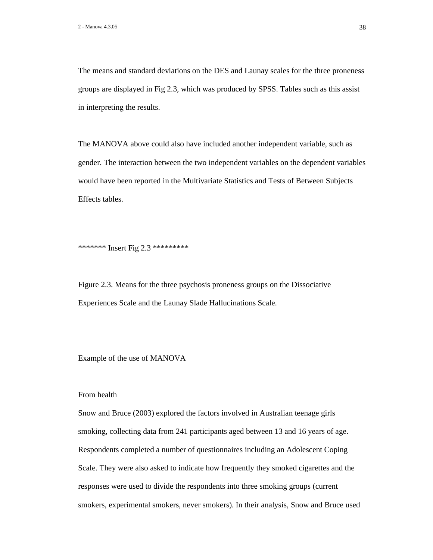The means and standard deviations on the DES and Launay scales for the three proneness groups are displayed in Fig 2.3, which was produced by SPSS. Tables such as this assist in interpreting the results.

The MANOVA above could also have included another independent variable, such as gender. The interaction between the two independent variables on the dependent variables would have been reported in the Multivariate Statistics and Tests of Between Subjects Effects tables.

\*\*\*\*\*\*\* Insert Fig 2.3 \*\*\*\*\*\*\*\*\*

Figure 2.3. Means for the three psychosis proneness groups on the Dissociative Experiences Scale and the Launay Slade Hallucinations Scale.

Example of the use of MANOVA

## From health

Snow and Bruce (2003) explored the factors involved in Australian teenage girls smoking, collecting data from 241 participants aged between 13 and 16 years of age. Respondents completed a number of questionnaires including an Adolescent Coping Scale. They were also asked to indicate how frequently they smoked cigarettes and the responses were used to divide the respondents into three smoking groups (current smokers, experimental smokers, never smokers). In their analysis, Snow and Bruce used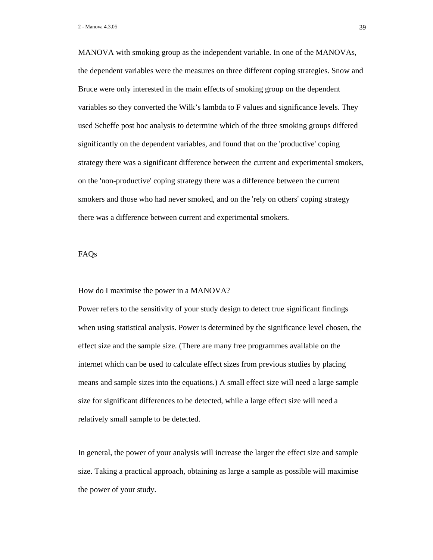2 - Manova 4.3.05  $\sim$  39

MANOVA with smoking group as the independent variable. In one of the MANOVAs, the dependent variables were the measures on three different coping strategies. Snow and Bruce were only interested in the main effects of smoking group on the dependent variables so they converted the Wilk's lambda to F values and significance levels. They used Scheffe post hoc analysis to determine which of the three smoking groups differed significantly on the dependent variables, and found that on the 'productive' coping strategy there was a significant difference between the current and experimental smokers, on the 'non-productive' coping strategy there was a difference between the current smokers and those who had never smoked, and on the 'rely on others' coping strategy there was a difference between current and experimental smokers.

### FAQs

How do I maximise the power in a MANOVA?

Power refers to the sensitivity of your study design to detect true significant findings when using statistical analysis. Power is determined by the significance level chosen, the effect size and the sample size. (There are many free programmes available on the internet which can be used to calculate effect sizes from previous studies by placing means and sample sizes into the equations.) A small effect size will need a large sample size for significant differences to be detected, while a large effect size will need a relatively small sample to be detected.

In general, the power of your analysis will increase the larger the effect size and sample size. Taking a practical approach, obtaining as large a sample as possible will maximise the power of your study.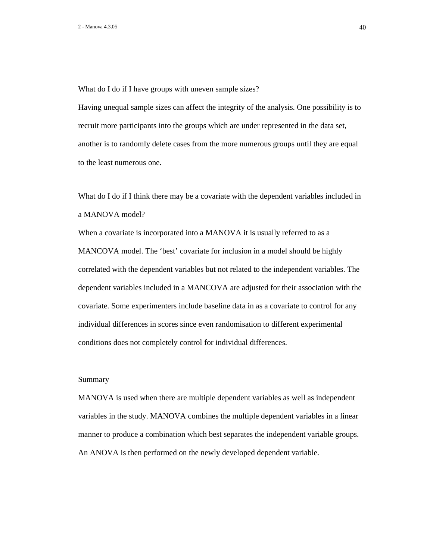What do I do if I have groups with uneven sample sizes?

Having unequal sample sizes can affect the integrity of the analysis. One possibility is to recruit more participants into the groups which are under represented in the data set, another is to randomly delete cases from the more numerous groups until they are equal to the least numerous one.

What do I do if I think there may be a covariate with the dependent variables included in a MANOVA model?

When a covariate is incorporated into a MANOVA it is usually referred to as a MANCOVA model. The 'best' covariate for inclusion in a model should be highly correlated with the dependent variables but not related to the independent variables. The dependent variables included in a MANCOVA are adjusted for their association with the covariate. Some experimenters include baseline data in as a covariate to control for any individual differences in scores since even randomisation to different experimental conditions does not completely control for individual differences.

## Summary

MANOVA is used when there are multiple dependent variables as well as independent variables in the study. MANOVA combines the multiple dependent variables in a linear manner to produce a combination which best separates the independent variable groups. An ANOVA is then performed on the newly developed dependent variable.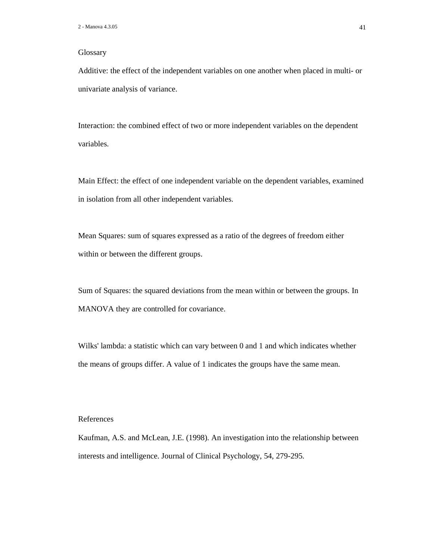## Glossary

Additive: the effect of the independent variables on one another when placed in multi- or univariate analysis of variance.

Interaction: the combined effect of two or more independent variables on the dependent variables.

Main Effect: the effect of one independent variable on the dependent variables, examined in isolation from all other independent variables.

Mean Squares: sum of squares expressed as a ratio of the degrees of freedom either within or between the different groups.

Sum of Squares: the squared deviations from the mean within or between the groups. In MANOVA they are controlled for covariance.

Wilks' lambda: a statistic which can vary between 0 and 1 and which indicates whether the means of groups differ. A value of 1 indicates the groups have the same mean.

# References

Kaufman, A.S. and McLean, J.E. (1998). An investigation into the relationship between interests and intelligence. Journal of Clinical Psychology, 54, 279-295.